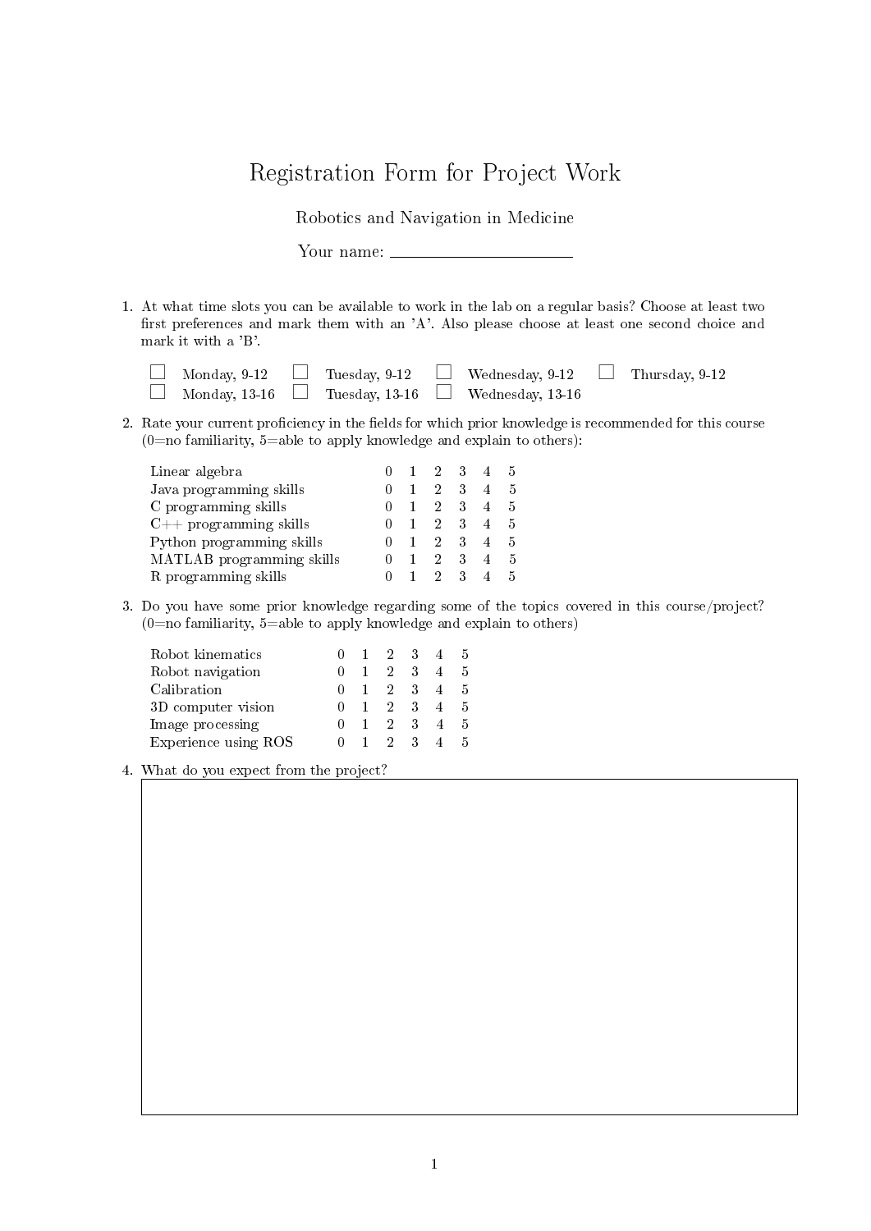## Registration Form for Project Work

Robotics and Navigation in Medicine

Your name:

1. At what time slots you can be available to work in the lab on a regular basis? Choose at least two first preferences and mark them with an  $'A'$ . Also please choose at least one second choice and mark it with a 'B'.

|  |  | $\Box$ Monday, 9-12 $\Box$ Tuesday, 9-12 $\Box$ Wednesday, 9-12 $\Box$ Thursday, 9-12 |  |
|--|--|---------------------------------------------------------------------------------------|--|
|  |  | $\Box$ Monday, 13-16 $\Box$ Tuesday, 13-16 $\Box$ Wednesday, 13-16                    |  |

2. Rate your current proficiency in the fields for which prior knowledge is recommended for this course  $(0=$ no familiarity,  $5=$ able to apply knowledge and explain to others):

| Linear algebra            |  |                |   |   | 5 |
|---------------------------|--|----------------|---|---|---|
| Java programming skills   |  | 2.             |   | 4 | 5 |
| C programming skills      |  | $\overline{2}$ |   |   | 5 |
| $C++$ programming skills  |  | 2.             | 3 | 4 | 5 |
| Python programming skills |  |                | 3 |   | 5 |
| MATLAB programming skills |  |                | 3 |   | 5 |
| R programming skills      |  |                | З |   | 5 |

3. Do you have some prior knowledge regarding some of the topics covered in this course/project?  $(0=$ no familiarity, 5=able to apply knowledge and explain to others)

| Robot kinematics     |                | $0 \t1 \t2 \t3$ |             | 45   |     |
|----------------------|----------------|-----------------|-------------|------|-----|
| Robot navigation     | $\Box$         |                 | 2 3         | 4    | -5  |
| Calibration          |                | $0 \t1 \t2 \t3$ |             | $-4$ | - 5 |
| 3D computer vision   |                |                 | 2 3         | $-4$ | - 5 |
| Image processing     | $\mathbf{0}$   |                 | 2 3         | 4    | -5  |
| Experience using ROS | $\mathbf{0}$ 1 |                 | $2 \quad 3$ |      | h   |

4. What do you expect from the project?